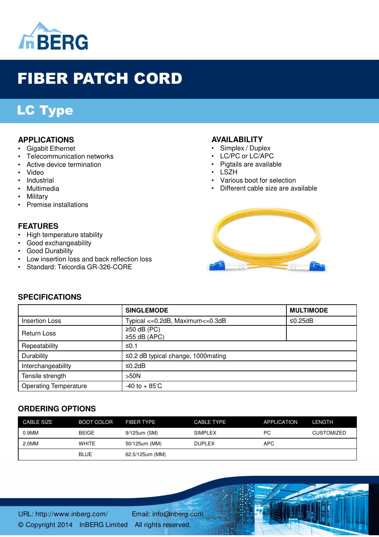

# FIBER PATCH CORD

# LC Type

#### **APPLICATIONS**

- Gigabit Ethernet
- Telecommunication networks
- Active device termination
- Video
- Industrial
- Multimedia
- Military
- Premise installations

#### **FEATURES**

- High temperature stability
- Good exchangeability
- Good Durability

**SPECIFICATIONS**

- Low insertion loss and back reflection loss
- Standard: Telcordia GR-326-CORE

#### **AVAILABILITY**

- Simplex / Duplex
- LC/PC or LC/APC
- Pigtails are available
- LSZH
- Various boot for selection
- Different cable size are available



|                              | <b>SINGLEMODE</b>                         | <b>MULTIMODE</b> |
|------------------------------|-------------------------------------------|------------------|
| <b>Insertion Loss</b>        | Typical <= 0.2dB, Maximum <= 0.3dB        | ≤0.25dB          |
| Return Loss                  | $\geq$ 50 dB (PC)<br>$\geq$ 55 dB (APC)   |                  |
| Repeatability                | ≤0.1                                      |                  |
| Durability                   | $\leq$ 0.2 dB typical change, 1000 mating |                  |
| Interchangeability           | ≤0.2dB                                    |                  |
| Tensile strength             | >50N                                      |                  |
| <b>Operating Temperature</b> | $-40$ to $+85^{\circ}$ C                  |                  |

## **ORDERING OPTIONS**

| CABLE SIZE | <b>BOOT COLOR</b> | FIBER TYPE      | <b>CABLE TYPE</b> | <b>APPLICATION</b> | <b>LENGTH</b>     |
|------------|-------------------|-----------------|-------------------|--------------------|-------------------|
| 0.9MM      | <b>BEIGE</b>      | 9/125um (SM)    | <b>SIMPLEX</b>    | РC                 | <b>CUSTOMIZED</b> |
| 2.0MM      | <b>WHITE</b>      | 50/125um (MM)   | <b>DUPLEX</b>     | APC                |                   |
|            | <b>BLUE</b>       | 62.5/125um (MM) |                   |                    |                   |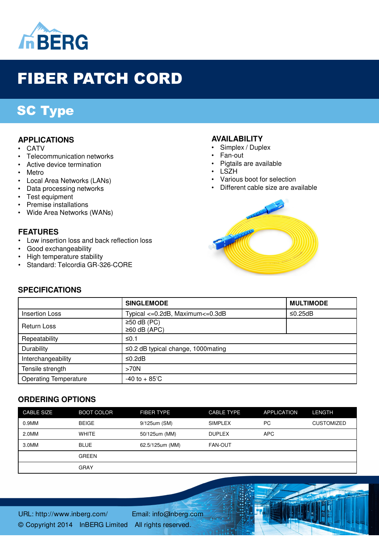

# FIBER PATCH CORD

# SC Type

#### **APPLICATIONS**

- **CATV**
- Telecommunication networks
- Active device termination
- Metro
- Local Area Networks (LANs)
- Data processing networks
- Test equipment
- Premise installations
- Wide Area Networks (WANs)

#### **FEATURES**

- Low insertion loss and back reflection loss
- Good exchangeability
- High temperature stability
- Standard: Telcordia GR-326-CORE

#### **AVAILABILITY**

- Simplex / Duplex
	- Fan-out
- Pigtails are available
- LSZH
- Various boot for selection
- Different cable size are available



## **SPECIFICATIONS**

|                              | <b>SINGLEMODE</b>                         | <b>MULTIMODE</b> |
|------------------------------|-------------------------------------------|------------------|
| <b>Insertion Loss</b>        | Typical <= 0.2dB, Maximum <= 0.3dB        | ≤0.25dB          |
| <b>Return Loss</b>           | $\geq$ 50 dB (PC)<br>$\geq 60$ dB (APC)   |                  |
| Repeatability                | ≤0.1                                      |                  |
| Durability                   | $\leq$ 0.2 dB typical change, 1000 mating |                  |
| Interchangeability           | ≤0.2dB                                    |                  |
| Tensile strength             | >70N                                      |                  |
| <b>Operating Temperature</b> | $-40$ to $+85^{\circ}$ C                  |                  |

#### **ORDERING OPTIONS**

| <b>CABLE SIZE</b> | <b>BOOT COLOR</b> | FIBER TYPE      | <b>CABLE TYPE</b> | <b>APPLICATION</b> | <b>LENGTH</b>     |
|-------------------|-------------------|-----------------|-------------------|--------------------|-------------------|
| 0.9MM             | <b>BEIGE</b>      | 9/125um (SM)    | <b>SIMPLEX</b>    | РC                 | <b>CUSTOMIZED</b> |
| 2.0MM             | WHITE             | 50/125um (MM)   | <b>DUPLEX</b>     | <b>APC</b>         |                   |
| 3.0MM             | <b>BLUE</b>       | 62.5/125um (MM) | <b>FAN-OUT</b>    |                    |                   |
|                   | <b>GREEN</b>      |                 |                   |                    |                   |
|                   | <b>GRAY</b>       |                 |                   |                    |                   |

URL: http://www.inberg.com/ Email: info@inberg.com © Copyright 2014 InBERG Limited All rights reserved.